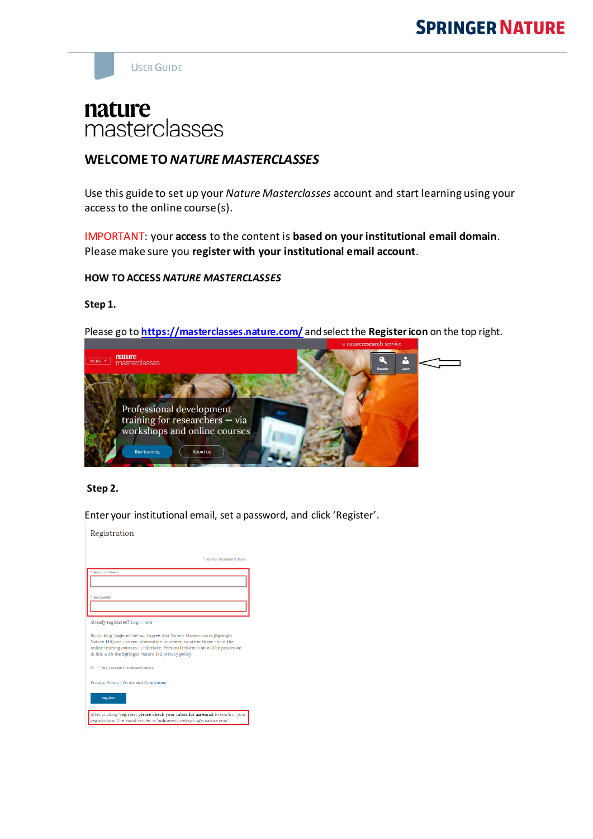# **SPRINGER NATURE**



# nature masterclasses

# **WELCOME TO** *NATURE MASTERCLASSES*

Use this guide to set up your *Nature Masterclasses* account and start learning using your access to the online course(s).

IMPORTANT: your **access** to the content is **based on your institutional email domain**. Please make sure you **register with your institutional email account**.

#### **HOW TO ACCESS** *NATURE MASTERCLASSES*

#### **Step 1.**

Please go to **<https://masterclasses.nature.com/>** and select the **Register icon** on the top right.



### **Step 2.**

Enter your institutional email, set a password, and click 'Register'.

| Registration                                                                                                                                                                                                                                                                            |
|-----------------------------------------------------------------------------------------------------------------------------------------------------------------------------------------------------------------------------------------------------------------------------------------|
|                                                                                                                                                                                                                                                                                         |
| * denotes mandatory fields                                                                                                                                                                                                                                                              |
|                                                                                                                                                                                                                                                                                         |
| email address                                                                                                                                                                                                                                                                           |
|                                                                                                                                                                                                                                                                                         |
| password                                                                                                                                                                                                                                                                                |
|                                                                                                                                                                                                                                                                                         |
|                                                                                                                                                                                                                                                                                         |
| Already registered? Login here                                                                                                                                                                                                                                                          |
| By clicking 'register' below, I agree that Nature Masterclasses (Springer<br>Nature Ltd) can use my information to communicate with me about the<br>online training courses I undertake. Personal information will be processed<br>in line with the Springer Nature Ltd privacy policy. |
| * Yes, I accept the privacy policy                                                                                                                                                                                                                                                      |
| Privacy Policy   Terms and Conditions                                                                                                                                                                                                                                                   |
| register                                                                                                                                                                                                                                                                                |
| After clicking 'register', please check your inbox for an email to confirm your<br>registration. The email sender is 'onlineservice@springernature.com'.                                                                                                                                |
|                                                                                                                                                                                                                                                                                         |